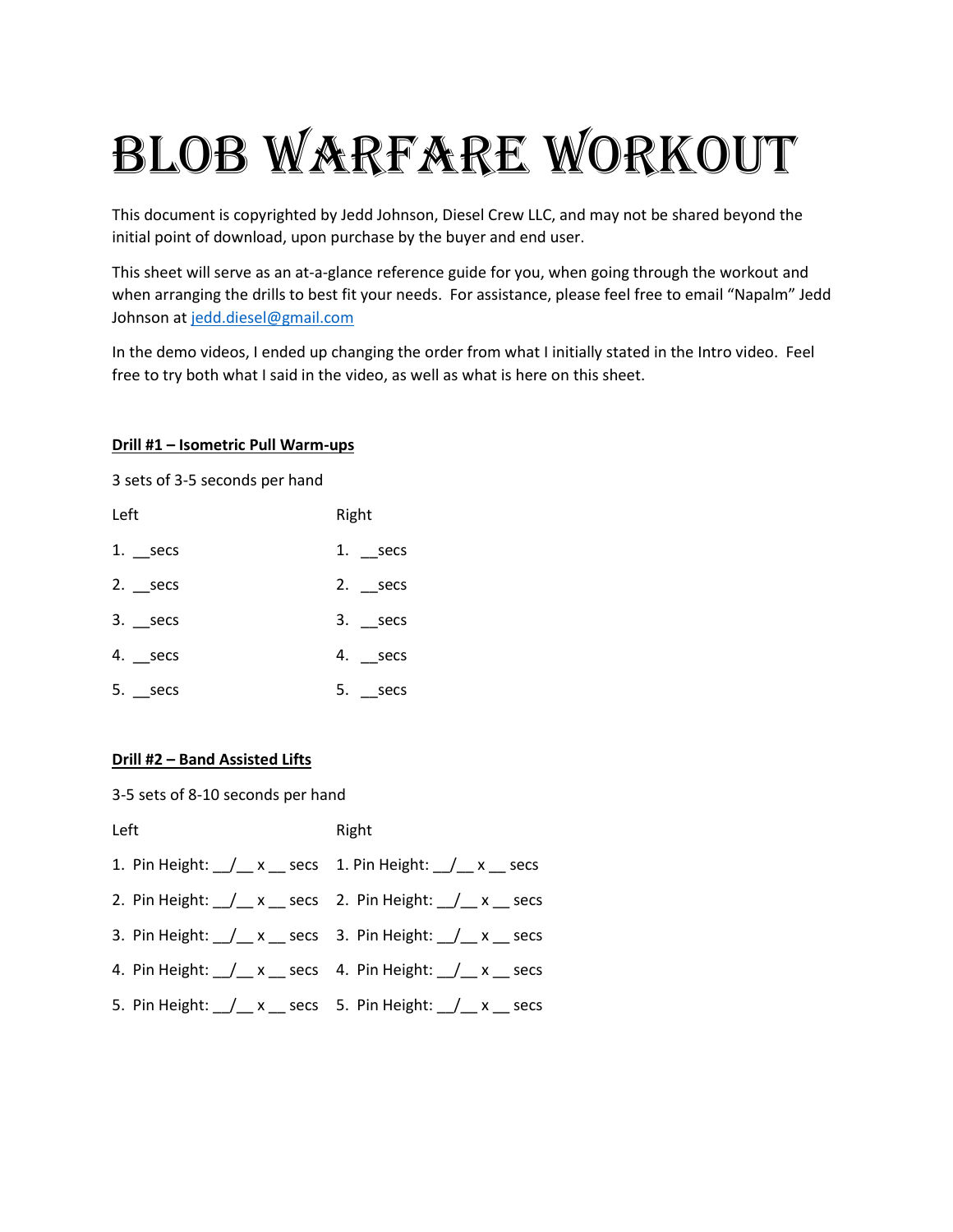# BLOB WARFARE WORKOUT

This document is copyrighted by Jedd Johnson, Diesel Crew LLC, and may not be shared beyond the initial point of download, upon purchase by the buyer and end user.

This sheet will serve as an at-a-glance reference guide for you, when going through the workout and when arranging the drills to best fit your needs. For assistance, please feel free to email "Napalm" Jedd Johnson a[t jedd.diesel@gmail.com](mailto:jedd.diesel@gmail.com)

In the demo videos, I ended up changing the order from what I initially stated in the Intro video. Feel free to try both what I said in the video, as well as what is here on this sheet.

#### **Drill #1 – Isometric Pull Warm-ups**

3 sets of 3-5 seconds per hand

| Left          | Right        |
|---------------|--------------|
| $1.$ __secs   | 1. $\_$ secs |
| $2.$ _secs    | 2. $\_secs$  |
| $3.$ _secs    | $3.$ __secs  |
| 4. __secs     | 4. secs      |
| $5.$ ___ secs | 5. secs      |

#### **Drill #2 – Band Assisted Lifts**

3-5 sets of 8-10 seconds per hand

| Left | Right                                                         |
|------|---------------------------------------------------------------|
|      |                                                               |
|      | 2. Pin Height: __/__ x __ secs 2. Pin Height: __/__ x __ secs |
|      | 3. Pin Height: __/__ x __ secs 3. Pin Height: __/__ x __ secs |
|      | 4. Pin Height: / x secs 4. Pin Height: / x secs               |
|      | 5. Pin Height: __/__ x __ secs 5. Pin Height: __/__ x __ secs |
|      |                                                               |